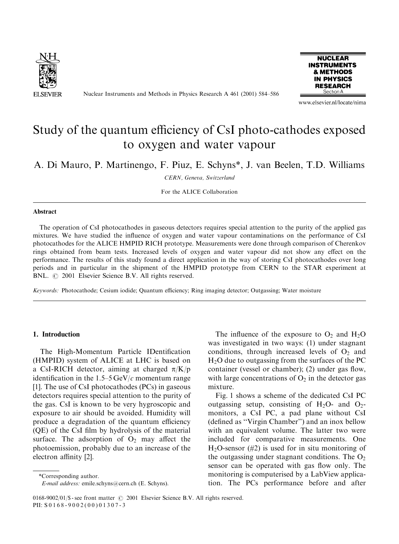

Nuclear Instruments and Methods in Physics Research A 461 (2001) 584–586



www.elsevier.nl/locate/nima

# Study of the quantum efficiency of CsI photo-cathodes exposed to oxygen and water vapour

A. Di Mauro, P. Martinengo, F. Piuz, E. Schyns\*, J. van Beelen, T.D. Williams

CERN, Geneva, Switzerland

For the ALICE Collaboration

#### Abstract

The operation of CsI photocathodes in gaseous detectors requires special attention to the purity of the applied gas mixtures. We have studied the influence of oxygen and water vapour contaminations on the performance of CsI photocathodes for the ALICE HMPID RICH prototype. Measurements were done through comparison of Cherenkov rings obtained from beam tests. Increased levels of oxygen and water vapour did not show any effect on the performance. The results of this study found a direct application in the way of storing CsI photocathodes over long periods and in particular in the shipment of the HMPID prototype from CERN to the STAR experiment at BNL.  $\odot$  2001 Elsevier Science B.V. All rights reserved.

Keywords: Photocathode; Cesium iodide; Quantum efficiency; Ring imaging detector; Outgassing; Water moisture

# 1. Introduction

The High-Momentum Particle IDentification (HMPID) system of ALICE at LHC is based on a CsI-RICH detector, aiming at charged  $\pi/K/p$ identification in the  $1.5-5 \,\text{GeV}/c$  momentum range [1]. The use of CsI photocathodes (PCs) in gaseous detectors requires special attention to the purity of the gas. CsI is known to be very hygroscopic and exposure to air should be avoided. Humidity will produce a degradation of the quantum efficiency (QE) of the CsI film by hydrolysis of the material surface. The adsorption of  $O_2$  may affect the photoemission, probably due to an increase of the electron affinity [2].

\*Corresponding author.

The influence of the exposure to  $O_2$  and  $H_2O$ was investigated in two ways: (1) under stagnant conditions, through increased levels of  $O<sub>2</sub>$  and  $H<sub>2</sub>O$  due to outgassing from the surfaces of the PC container (vessel or chamber); (2) under gas flow, with large concentrations of  $O_2$  in the detector gas mixture.

Fig. 1 shows a scheme of the dedicated CsI PC outgassing setup, consisting of  $H_2O$ - and  $O_2$ monitors, a CsI PC, a pad plane without CsI (defined as ''Virgin Chamber'') and an inox bellow with an equivalent volume. The latter two were included for comparative measurements. One  $H<sub>2</sub>O-sensor$  (#2) is used for in situ monitoring of the outgassing under stagnant conditions. The  $O_2$ sensor can be operated with gas flow only. The monitoring is computerised by a LabView application. The PCs performance before and after

0168-9002/01/\$ - see front matter  $\odot$  2001 Elsevier Science B.V. All rights reserved. PII: S 0168-9002(00)01307-3

E-mail address: emile.schyns@cern.ch (E. Schyns).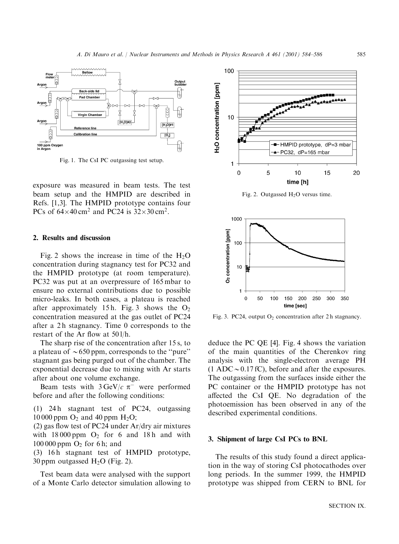

Fig. 1. The CsI PC outgassing test setup.

exposure was measured in beam tests. The test beam setup and the HMPID are described in Refs. [1,3]. The HMPID prototype contains four PCs of  $64\times40$  cm<sup>2</sup> and PC24 is  $32\times30$  cm<sup>2</sup>.

#### 2. Results and discussion

Fig. 2 shows the increase in time of the  $H_2O$ concentration during stagnancy test for PC32 and the HMPID prototype (at room temperature). PC32 was put at an overpressure of 165 mbar to ensure no external contributions due to possible micro-leaks. In both cases, a plateau is reached after approximately 15h. Fig. 3 shows the  $O_2$ concentration measured at the gas outlet of PC24 after a 2 h stagnancy. Time 0 corresponds to the restart of the Ar flow at 50 l/h.

The sharp rise of the concentration after 15 s, to a plateau of  $\sim$  650 ppm, corresponds to the "pure" stagnant gas being purged out of the chamber. The exponential decrease due to mixing with Ar starts after about one volume exchange.

Beam tests with  $3 \text{ GeV}/c \pi^-$  were performed before and after the following conditions:

(1) 24 h stagnant test of PC24, outgassing 10 000 ppm  $O_2$  and 40 ppm  $H_2O$ ;

(2) gas flow test of PC24 under Ar/dry air mixtures with  $18000$  ppm  $O_2$  for 6 and 18h and with  $100 000$  ppm  $O<sub>2</sub>$  for 6 h; and

(3) 16h stagnant test of HMPID prototype, 30 ppm outgassed  $H_2O$  (Fig. 2).

Test beam data were analysed with the support of a Monte Carlo detector simulation allowing to



Fig. 2. Outgassed H2O versus time.



Fig. 3. PC24, output  $O_2$  concentration after 2 h stagnancy.

deduce the PC QE [4]. Fig. 4 shows the variation of the main quantities of the Cherenkov ring analysis with the single-electron average PH  $(1 \text{ ADC} \sim 0.17 \text{ fC})$ , before and after the exposures. The outgassing from the surfaces inside either the PC container or the HMPID prototype has not affected the CsI QE. No degradation of the photoemission has been observed in any of the described experimental conditions.

## 3. Shipment of large CsI PCs to BNL

The results of this study found a direct application in the way of storing CsI photocathodes over long periods. In the summer 1999, the HMPID prototype was shipped from CERN to BNL for